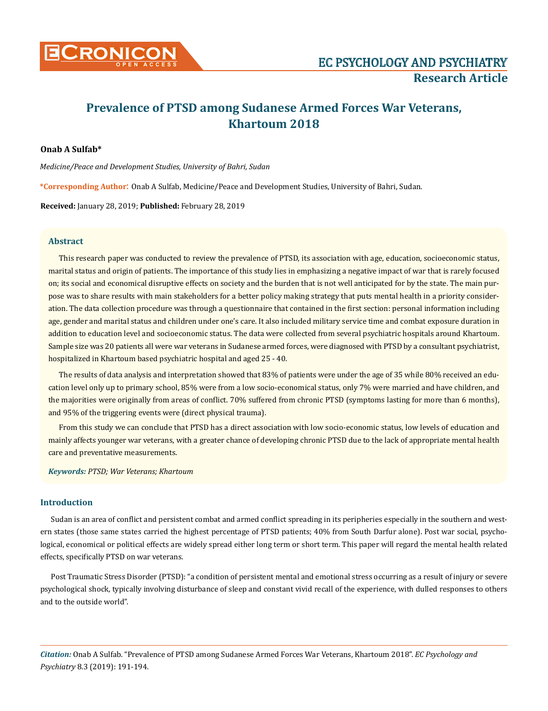

# **Prevalence of PTSD among Sudanese Armed Forces War Veterans, Khartoum 2018**

## **Onab A Sulfab\***

*Medicine/Peace and Development Studies, University of Bahri, Sudan* 

**\*Corresponding Author**: Onab A Sulfab, Medicine/Peace and Development Studies, University of Bahri, Sudan.

**Received:** January 28, 2019; **Published:** February 28, 2019

#### **Abstract**

This research paper was conducted to review the prevalence of PTSD, its association with age, education, socioeconomic status, marital status and origin of patients. The importance of this study lies in emphasizing a negative impact of war that is rarely focused on; its social and economical disruptive effects on society and the burden that is not well anticipated for by the state. The main purpose was to share results with main stakeholders for a better policy making strategy that puts mental health in a priority consideration. The data collection procedure was through a questionnaire that contained in the first section: personal information including age, gender and marital status and children under one's care. It also included military service time and combat exposure duration in addition to education level and socioeconomic status. The data were collected from several psychiatric hospitals around Khartoum. Sample size was 20 patients all were war veterans in Sudanese armed forces, were diagnosed with PTSD by a consultant psychiatrist, hospitalized in Khartoum based psychiatric hospital and aged 25 - 40.

The results of data analysis and interpretation showed that 83% of patients were under the age of 35 while 80% received an education level only up to primary school, 85% were from a low socio-economical status, only 7% were married and have children, and the majorities were originally from areas of conflict. 70% suffered from chronic PTSD (symptoms lasting for more than 6 months), and 95% of the triggering events were (direct physical trauma).

From this study we can conclude that PTSD has a direct association with low socio-economic status, low levels of education and mainly affects younger war veterans, with a greater chance of developing chronic PTSD due to the lack of appropriate mental health care and preventative measurements.

*Keywords: PTSD; War Veterans; Khartoum*

## **Introduction**

Sudan is an area of conflict and persistent combat and armed conflict spreading in its peripheries especially in the southern and western states (those same states carried the highest percentage of PTSD patients; 40% from South Darfur alone). Post war social, psychological, economical or political effects are widely spread either long term or short term. This paper will regard the mental health related effects, specifically PTSD on war veterans.

Post Traumatic Stress Disorder (PTSD): "a condition of persistent mental and emotional stress occurring as a result of injury or severe psychological shock, typically involving disturbance of sleep and constant vivid recall of the experience, with dulled responses to others and to the outside world".

*Citation:* Onab A Sulfab. "Prevalence of PTSD among Sudanese Armed Forces War Veterans, Khartoum 2018". *EC Psychology and Psychiatry* 8.3 (2019): 191-194.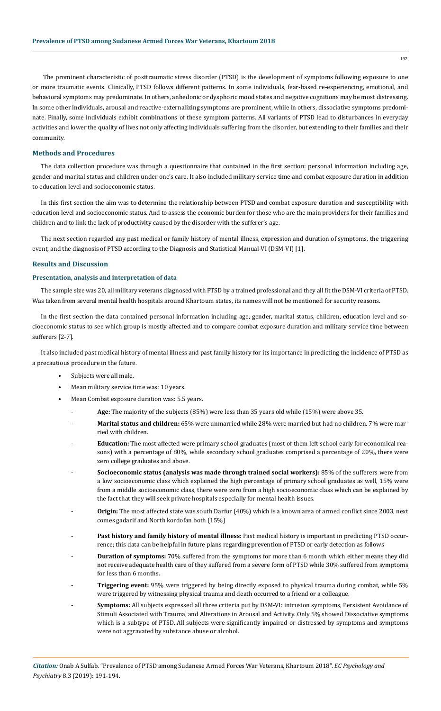The prominent characteristic of posttraumatic stress disorder (PTSD) is the development of symptoms following exposure to one or more traumatic events. Clinically, PTSD follows different patterns. In some individuals, fear-based re-experiencing, emotional, and behavioral symptoms may predominate. In others, anhedonic or dysphoric mood states and negative cognitions may be most distressing. In some other individuals, arousal and reactive-externalizing symptoms are prominent, while in others, dissociative symptoms predominate. Finally, some individuals exhibit combinations of these symptom patterns. All variants of PTSD lead to disturbances in everyday activities and lower the quality of lives not only affecting individuals suffering from the disorder, but extending to their families and their community.

#### **Methods and Procedures**

The data collection procedure was through a questionnaire that contained in the first section: personal information including age, gender and marital status and children under one's care. It also included military service time and combat exposure duration in addition to education level and socioeconomic status.

In this first section the aim was to determine the relationship between PTSD and combat exposure duration and susceptibility with education level and socioeconomic status. And to assess the economic burden for those who are the main providers for their families and children and to link the lack of productivity caused by the disorder with the sufferer's age.

The next section regarded any past medical or family history of mental illness, expression and duration of symptoms, the triggering event, and the diagnosis of PTSD according to the Diagnosis and Statistical Manual-VI (DSM-VI) [1].

#### **Results and Discussion**

## **Presentation, analysis and interpretation of data**

The sample size was 20, all military veterans diagnosed with PTSD by a trained professional and they all fit the DSM-VI criteria of PTSD. Was taken from several mental health hospitals around Khartoum states, its names will not be mentioned for security reasons.

In the first section the data contained personal information including age, gender, marital status, children, education level and socioeconomic status to see which group is mostly affected and to compare combat exposure duration and military service time between sufferers [2-7].

It also included past medical history of mental illness and past family history for its importance in predicting the incidence of PTSD as a precautious procedure in the future.

- Subjects were all male.
- Mean military service time was: 10 years.
- Mean Combat exposure duration was: 5.5 years.
	- Age: The majority of the subjects (85%) were less than 35 years old while (15%) were above 35.
	- **Marital status and children:** 65% were unmarried while 28% were married but had no children, 7% were married with children.
	- **Education:** The most affected were primary school graduates (most of them left school early for economical reasons) with a percentage of 80%, while secondary school graduates comprised a percentage of 20%, there were zero college graduates and above.
	- **Socioeconomic status (analysis was made through trained social workers):** 85% of the sufferers were from a low socioeconomic class which explained the high percentage of primary school graduates as well, 15% were from a middle socioeconomic class, there were zero from a high socioeconomic class which can be explained by the fact that they will seek private hospitals especially for mental health issues.
	- **Origin:** The most affected state was south Darfur (40%) which is a known area of armed conflict since 2003, next comes gadarif and North kordofan both (15%)
	- **Past history and family history of mental illness:** Past medical history is important in predicting PTSD occurrence; this data can be helpful in future plans regarding prevention of PTSD or early detection as follows
	- **Duration of symptoms:** 70% suffered from the symptoms for more than 6 month which either means they did not receive adequate health care of they suffered from a severe form of PTSD while 30% suffered from symptoms for less than 6 months.
	- **Triggering event:** 95% were triggered by being directly exposed to physical trauma during combat, while 5% were triggered by witnessing physical trauma and death occurred to a friend or a colleague.
	- **Symptoms:** All subjects expressed all three criteria put by DSM-VI: intrusion symptoms, Persistent Avoidance of Stimuli Associated with Trauma, and Alterations in Arousal and Activity. Only 5% showed Dissociative symptoms which is a subtype of PTSD. All subjects were significantly impaired or distressed by symptoms and symptoms were not aggravated by substance abuse or alcohol.

192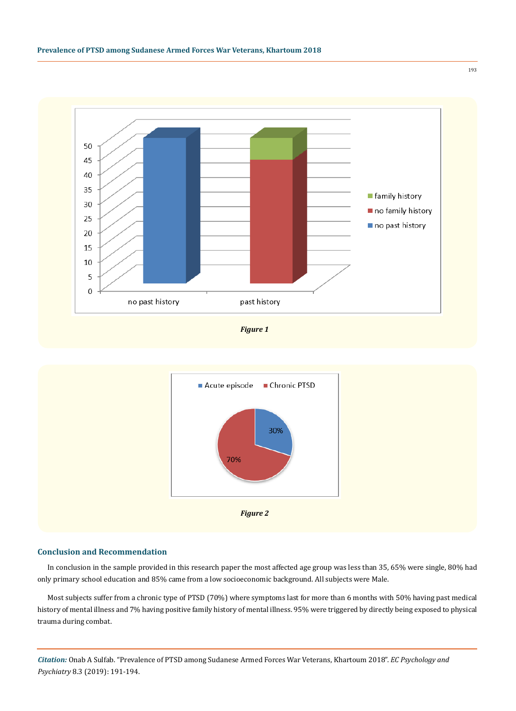





## **Conclusion and Recommendation**

In conclusion in the sample provided in this research paper the most affected age group was less than 35, 65% were single, 80% had only primary school education and 85% came from a low socioeconomic background. All subjects were Male.

Most subjects suffer from a chronic type of PTSD (70%) where symptoms last for more than 6 months with 50% having past medical history of mental illness and 7% having positive family history of mental illness. 95% were triggered by directly being exposed to physical trauma during combat.

*Citation:* Onab A Sulfab. "Prevalence of PTSD among Sudanese Armed Forces War Veterans, Khartoum 2018". *EC Psychology and Psychiatry* 8.3 (2019): 191-194.

193